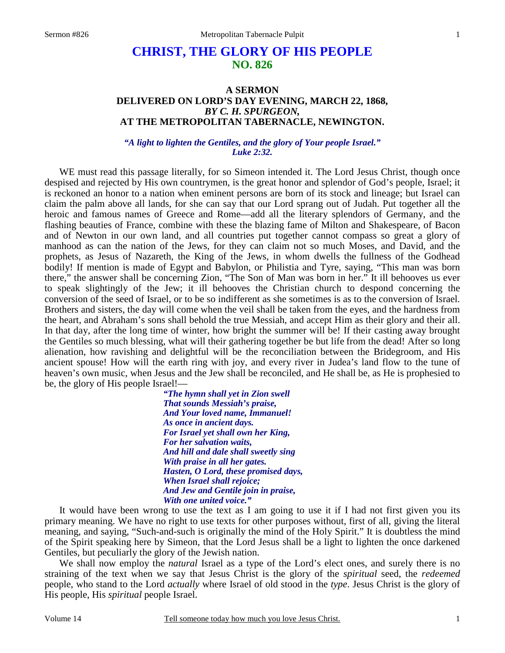# **CHRIST, THE GLORY OF HIS PEOPLE NO. 826**

# **A SERMON DELIVERED ON LORD'S DAY EVENING, MARCH 22, 1868,**  *BY C. H. SPURGEON,*  **AT THE METROPOLITAN TABERNACLE, NEWINGTON.**

*"A light to lighten the Gentiles, and the glory of Your people Israel." Luke 2:32.* 

WE must read this passage literally, for so Simeon intended it. The Lord Jesus Christ, though once despised and rejected by His own countrymen, is the great honor and splendor of God's people, Israel; it is reckoned an honor to a nation when eminent persons are born of its stock and lineage; but Israel can claim the palm above all lands, for she can say that our Lord sprang out of Judah. Put together all the heroic and famous names of Greece and Rome—add all the literary splendors of Germany, and the flashing beauties of France, combine with these the blazing fame of Milton and Shakespeare, of Bacon and of Newton in our own land, and all countries put together cannot compass so great a glory of manhood as can the nation of the Jews, for they can claim not so much Moses, and David, and the prophets, as Jesus of Nazareth, the King of the Jews, in whom dwells the fullness of the Godhead bodily! If mention is made of Egypt and Babylon, or Philistia and Tyre, saying, "This man was born there," the answer shall be concerning Zion, "The Son of Man was born in her." It ill behooves us ever to speak slightingly of the Jew; it ill behooves the Christian church to despond concerning the conversion of the seed of Israel, or to be so indifferent as she sometimes is as to the conversion of Israel. Brothers and sisters, the day will come when the veil shall be taken from the eyes, and the hardness from the heart, and Abraham's sons shall behold the true Messiah, and accept Him as their glory and their all. In that day, after the long time of winter, how bright the summer will be! If their casting away brought the Gentiles so much blessing, what will their gathering together be but life from the dead! After so long alienation, how ravishing and delightful will be the reconciliation between the Bridegroom, and His ancient spouse! How will the earth ring with joy, and every river in Judea's land flow to the tune of heaven's own music, when Jesus and the Jew shall be reconciled, and He shall be, as He is prophesied to be, the glory of His people Israel!—

> *"The hymn shall yet in Zion swell That sounds Messiah's praise, And Your loved name, Immanuel! As once in ancient days. For Israel yet shall own her King, For her salvation waits, And hill and dale shall sweetly sing With praise in all her gates. Hasten, O Lord, these promised days, When Israel shall rejoice; And Jew and Gentile join in praise, With one united voice."*

It would have been wrong to use the text as I am going to use it if I had not first given you its primary meaning. We have no right to use texts for other purposes without, first of all, giving the literal meaning, and saying, "Such-and-such is originally the mind of the Holy Spirit." It is doubtless the mind of the Spirit speaking here by Simeon, that the Lord Jesus shall be a light to lighten the once darkened Gentiles, but peculiarly the glory of the Jewish nation.

 We shall now employ the *natural* Israel as a type of the Lord's elect ones, and surely there is no straining of the text when we say that Jesus Christ is the glory of the *spiritual* seed, the *redeemed* people, who stand to the Lord *actually* where Israel of old stood in the *type*. Jesus Christ is the glory of His people, His *spiritual* people Israel.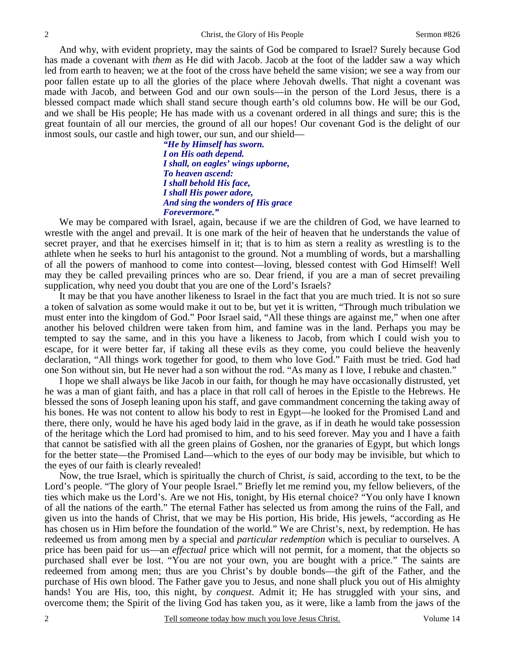And why, with evident propriety, may the saints of God be compared to Israel? Surely because God has made a covenant with *them* as He did with Jacob. Jacob at the foot of the ladder saw a way which led from earth to heaven; we at the foot of the cross have beheld the same vision; we see a way from our poor fallen estate up to all the glories of the place where Jehovah dwells. That night a covenant was made with Jacob, and between God and our own souls—in the person of the Lord Jesus, there is a blessed compact made which shall stand secure though earth's old columns bow. He will be our God, and we shall be His people; He has made with us a covenant ordered in all things and sure; this is the great fountain of all our mercies, the ground of all our hopes! Our covenant God is the delight of our inmost souls, our castle and high tower, our sun, and our shield—

> *"He by Himself has sworn. I on His oath depend. I shall, on eagles' wings upborne, To heaven ascend: I shall behold His face, I shall His power adore, And sing the wonders of His grace Forevermore."*

 We may be compared with Israel, again, because if we are the children of God, we have learned to wrestle with the angel and prevail. It is one mark of the heir of heaven that he understands the value of secret prayer, and that he exercises himself in it; that is to him as stern a reality as wrestling is to the athlete when he seeks to hurl his antagonist to the ground. Not a mumbling of words, but a marshalling of all the powers of manhood to come into contest—loving, blessed contest with God Himself! Well may they be called prevailing princes who are so. Dear friend, if you are a man of secret prevailing supplication, why need you doubt that you are one of the Lord's Israels?

 It may be that you have another likeness to Israel in the fact that you are much tried. It is not so sure a token of salvation as some would make it out to be, but yet it is written, "Through much tribulation we must enter into the kingdom of God." Poor Israel said, "All these things are against me," when one after another his beloved children were taken from him, and famine was in the land. Perhaps you may be tempted to say the same, and in this you have a likeness to Jacob, from which I could wish you to escape, for it were better far, if taking all these evils as they come, you could believe the heavenly declaration, "All things work together for good, to them who love God." Faith must be tried. God had one Son without sin, but He never had a son without the rod. "As many as I love, I rebuke and chasten."

 I hope we shall always be like Jacob in our faith, for though he may have occasionally distrusted, yet he was a man of giant faith, and has a place in that roll call of heroes in the Epistle to the Hebrews. He blessed the sons of Joseph leaning upon his staff, and gave commandment concerning the taking away of his bones. He was not content to allow his body to rest in Egypt—he looked for the Promised Land and there, there only, would he have his aged body laid in the grave, as if in death he would take possession of the heritage which the Lord had promised to him, and to his seed forever. May you and I have a faith that cannot be satisfied with all the green plains of Goshen, nor the granaries of Egypt, but which longs for the better state—the Promised Land—which to the eyes of our body may be invisible, but which to the eyes of our faith is clearly revealed!

 Now, the true Israel, which is spiritually the church of Christ, *is* said, according to the text, to be the Lord's people. "The glory of Your people Israel." Briefly let me remind you, my fellow believers, of the ties which make us the Lord's. Are we not His, tonight, by His eternal choice? "You only have I known of all the nations of the earth." The eternal Father has selected us from among the ruins of the Fall, and given us into the hands of Christ, that we may be His portion, His bride, His jewels, "according as He has chosen us in Him before the foundation of the world." We are Christ's, next, by redemption. He has redeemed us from among men by a special and *particular redemption* which is peculiar to ourselves. A price has been paid for us—an *effectual* price which will not permit, for a moment, that the objects so purchased shall ever be lost. "You are not your own, you are bought with a price." The saints are redeemed from among men; thus are you Christ's by double bonds—the gift of the Father, and the purchase of His own blood. The Father gave you to Jesus, and none shall pluck you out of His almighty hands! You are His, too, this night, by *conquest*. Admit it; He has struggled with your sins, and overcome them; the Spirit of the living God has taken you, as it were, like a lamb from the jaws of the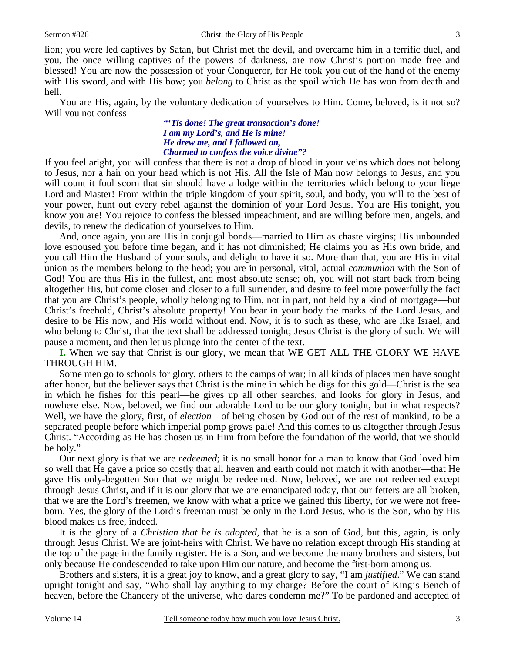3

lion; you were led captives by Satan, but Christ met the devil, and overcame him in a terrific duel, and you, the once willing captives of the powers of darkness, are now Christ's portion made free and blessed! You are now the possession of your Conqueror, for He took you out of the hand of the enemy with His sword, and with His bow; you *belong* to Christ as the spoil which He has won from death and hell.

 You are His, again, by the voluntary dedication of yourselves to Him. Come, beloved, is it not so? Will you not confess*—* 

*"'Tis done! The great transaction's done! I am my Lord's, and He is mine! He drew me, and I followed on, Charmed to confess the voice divine"?* 

If you feel aright, you will confess that there is not a drop of blood in your veins which does not belong to Jesus, nor a hair on your head which is not His. All the Isle of Man now belongs to Jesus, and you will count it foul scorn that sin should have a lodge within the territories which belong to your liege Lord and Master! From within the triple kingdom of your spirit, soul, and body, you will to the best of your power, hunt out every rebel against the dominion of your Lord Jesus. You are His tonight, you know you are! You rejoice to confess the blessed impeachment, and are willing before men, angels, and devils, to renew the dedication of yourselves to Him.

 And, once again, you are His in conjugal bonds—married to Him as chaste virgins; His unbounded love espoused you before time began, and it has not diminished; He claims you as His own bride, and you call Him the Husband of your souls, and delight to have it so. More than that, you are His in vital union as the members belong to the head; you are in personal, vital, actual *communion* with the Son of God! You are thus His in the fullest, and most absolute sense; oh, you will not start back from being altogether His, but come closer and closer to a full surrender, and desire to feel more powerfully the fact that you are Christ's people, wholly belonging to Him, not in part, not held by a kind of mortgage—but Christ's freehold, Christ's absolute property! You bear in your body the marks of the Lord Jesus, and desire to be His now, and His world without end. Now, it is to such as these, who are like Israel, and who belong to Christ, that the text shall be addressed tonight; Jesus Christ is the glory of such. We will pause a moment, and then let us plunge into the center of the text.

**I.** When we say that Christ is our glory, we mean that WE GET ALL THE GLORY WE HAVE THROUGH HIM.

 Some men go to schools for glory, others to the camps of war; in all kinds of places men have sought after honor, but the believer says that Christ is the mine in which he digs for this gold—Christ is the sea in which he fishes for this pearl—he gives up all other searches, and looks for glory in Jesus, and nowhere else. Now, beloved, we find our adorable Lord to be our glory tonight, but in what respects? Well, we have the glory, first, of *election*—of being chosen by God out of the rest of mankind, to be a separated people before which imperial pomp grows pale! And this comes to us altogether through Jesus Christ. "According as He has chosen us in Him from before the foundation of the world, that we should be holy."

Our next glory is that we are *redeemed*; it is no small honor for a man to know that God loved him so well that He gave a price so costly that all heaven and earth could not match it with another—that He gave His only-begotten Son that we might be redeemed. Now, beloved, we are not redeemed except through Jesus Christ, and if it is our glory that we are emancipated today, that our fetters are all broken, that we are the Lord's freemen, we know with what a price we gained this liberty, for we were not freeborn. Yes, the glory of the Lord's freeman must be only in the Lord Jesus, who is the Son, who by His blood makes us free, indeed.

 It is the glory of a *Christian that he is adopted*, that he is a son of God, but this, again, is only through Jesus Christ. We are joint-heirs with Christ. We have no relation except through His standing at the top of the page in the family register. He is a Son, and we become the many brothers and sisters, but only because He condescended to take upon Him our nature, and become the first-born among us.

 Brothers and sisters, it is a great joy to know, and a great glory to say, "I am *justified*." We can stand upright tonight and say, "Who shall lay anything to my charge? Before the court of King's Bench of heaven, before the Chancery of the universe, who dares condemn me?" To be pardoned and accepted of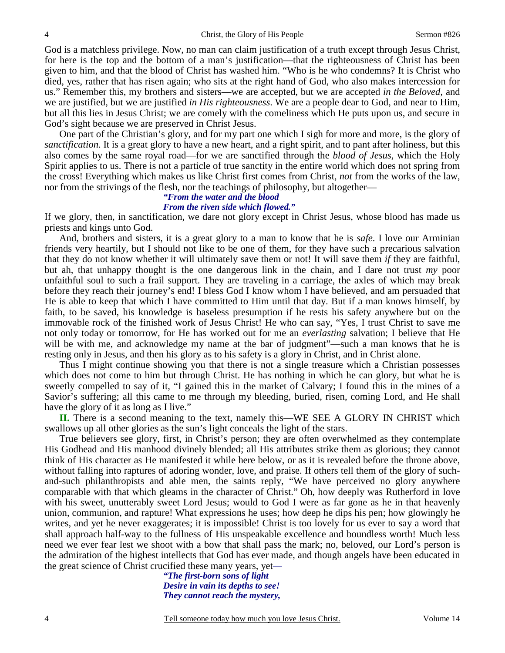God is a matchless privilege. Now, no man can claim justification of a truth except through Jesus Christ, for here is the top and the bottom of a man's justification—that the righteousness of Christ has been given to him, and that the blood of Christ has washed him. "Who is he who condemns? It is Christ who died, yes, rather that has risen again; who sits at the right hand of God, who also makes intercession for us." Remember this, my brothers and sisters—we are accepted, but we are accepted *in the Beloved*, and we are justified, but we are justified *in His righteousness*. We are a people dear to God, and near to Him, but all this lies in Jesus Christ; we are comely with the comeliness which He puts upon us, and secure in God's sight because we are preserved in Christ Jesus.

 One part of the Christian's glory, and for my part one which I sigh for more and more, is the glory of *sanctification*. It is a great glory to have a new heart, and a right spirit, and to pant after holiness, but this also comes by the same royal road—for we are sanctified through the *blood of Jesus*, which the Holy Spirit applies to us. There is not a particle of true sanctity in the entire world which does not spring from the cross! Everything which makes us like Christ first comes from Christ, *not* from the works of the law, nor from the strivings of the flesh, nor the teachings of philosophy, but altogether—

#### *"From the water and the blood From the riven side which flowed."*

If we glory, then, in sanctification, we dare not glory except in Christ Jesus, whose blood has made us priests and kings unto God.

 And, brothers and sisters, it is a great glory to a man to know that he is *safe*. I love our Arminian friends very heartily, but I should not like to be one of them, for they have such a precarious salvation that they do not know whether it will ultimately save them or not! It will save them *if* they are faithful, but ah, that unhappy thought is the one dangerous link in the chain, and I dare not trust *my* poor unfaithful soul to such a frail support. They are traveling in a carriage, the axles of which may break before they reach their journey's end! I bless God I know whom I have believed, and am persuaded that He is able to keep that which I have committed to Him until that day. But if a man knows himself, by faith, to be saved, his knowledge is baseless presumption if he rests his safety anywhere but on the immovable rock of the finished work of Jesus Christ! He who can say, "Yes, I trust Christ to save me not only today or tomorrow, for He has worked out for me an *everlasting* salvation; I believe that He will be with me, and acknowledge my name at the bar of judgment"—such a man knows that he is resting only in Jesus, and then his glory as to his safety is a glory in Christ, and in Christ alone.

 Thus I might continue showing you that there is not a single treasure which a Christian possesses which does not come to him but through Christ. He has nothing in which he can glory, but what he is sweetly compelled to say of it, "I gained this in the market of Calvary; I found this in the mines of a Savior's suffering; all this came to me through my bleeding, buried, risen, coming Lord, and He shall have the glory of it as long as I live."

**II.** There is a second meaning to the text, namely this—WE SEE A GLORY IN CHRIST which swallows up all other glories as the sun's light conceals the light of the stars.

 True believers see glory, first, in Christ's person; they are often overwhelmed as they contemplate His Godhead and His manhood divinely blended; all His attributes strike them as glorious; they cannot think of His character as He manifested it while here below, or as it is revealed before the throne above, without falling into raptures of adoring wonder, love, and praise. If others tell them of the glory of suchand-such philanthropists and able men, the saints reply, "We have perceived no glory anywhere comparable with that which gleams in the character of Christ." Oh, how deeply was Rutherford in love with his sweet, unutterably sweet Lord Jesus; would to God I were as far gone as he in that heavenly union, communion, and rapture! What expressions he uses; how deep he dips his pen; how glowingly he writes, and yet he never exaggerates; it is impossible! Christ is too lovely for us ever to say a word that shall approach half-way to the fullness of His unspeakable excellence and boundless worth! Much less need we ever fear lest we shoot with a bow that shall pass the mark; no, beloved, our Lord's person is the admiration of the highest intellects that God has ever made, and though angels have been educated in the great science of Christ crucified these many years, yet*—* 

*"The first-born sons of light Desire in vain its depths to see! They cannot reach the mystery,*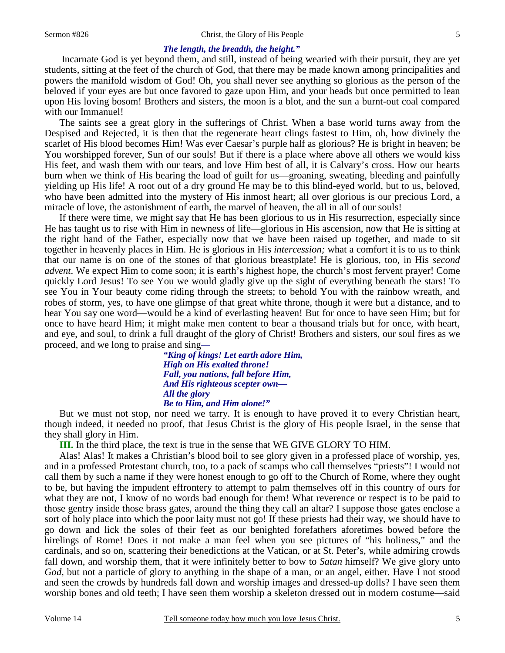#### Sermon #826 Christ, the Glory of His People

#### 5

### *The length, the breadth, the height."*

Incarnate God is yet beyond them, and still, instead of being wearied with their pursuit, they are yet students, sitting at the feet of the church of God, that there may be made known among principalities and powers the manifold wisdom of God! Oh, you shall never see anything so glorious as the person of the beloved if your eyes are but once favored to gaze upon Him, and your heads but once permitted to lean upon His loving bosom! Brothers and sisters, the moon is a blot, and the sun a burnt-out coal compared with our Immanuel!

 The saints see a great glory in the sufferings of Christ. When a base world turns away from the Despised and Rejected, it is then that the regenerate heart clings fastest to Him, oh, how divinely the scarlet of His blood becomes Him! Was ever Caesar's purple half as glorious? He is bright in heaven; be You worshipped forever, Sun of our souls! But if there is a place where above all others we would kiss His feet, and wash them with our tears, and love Him best of all, it is Calvary's cross. How our hearts burn when we think of His bearing the load of guilt for us—groaning, sweating, bleeding and painfully yielding up His life! A root out of a dry ground He may be to this blind-eyed world, but to us, beloved, who have been admitted into the mystery of His inmost heart; all over glorious is our precious Lord, a miracle of love, the astonishment of earth, the marvel of heaven, the all in all of our souls!

 If there were time, we might say that He has been glorious to us in His resurrection, especially since He has taught us to rise with Him in newness of life—glorious in His ascension, now that He is sitting at the right hand of the Father, especially now that we have been raised up together, and made to sit together in heavenly places in Him. He is glorious in His *intercession;* what a comfort it is to us to think that our name is on one of the stones of that glorious breastplate! He is glorious, too, in His *second advent*. We expect Him to come soon; it is earth's highest hope, the church's most fervent prayer! Come quickly Lord Jesus! To see You we would gladly give up the sight of everything beneath the stars! To see You in Your beauty come riding through the streets; to behold You with the rainbow wreath, and robes of storm, yes, to have one glimpse of that great white throne, though it were but a distance, and to hear You say one word—would be a kind of everlasting heaven! But for once to have seen Him; but for once to have heard Him; it might make men content to bear a thousand trials but for once, with heart, and eye, and soul, to drink a full draught of the glory of Christ! Brothers and sisters, our soul fires as we proceed, and we long to praise and sing*—* 

*"King of kings! Let earth adore Him, High on His exalted throne! Fall, you nations, fall before Him, And His righteous scepter own— All the glory Be to Him, and Him alone!"* 

But we must not stop, nor need we tarry. It is enough to have proved it to every Christian heart, though indeed, it needed no proof, that Jesus Christ is the glory of His people Israel, in the sense that they shall glory in Him.

**III.** In the third place, the text is true in the sense that WE GIVE GLORY TO HIM.

 Alas! Alas! It makes a Christian's blood boil to see glory given in a professed place of worship, yes, and in a professed Protestant church, too, to a pack of scamps who call themselves "priests"! I would not call them by such a name if they were honest enough to go off to the Church of Rome, where they ought to be, but having the impudent effrontery to attempt to palm themselves off in this country of ours for what they are not, I know of no words bad enough for them! What reverence or respect is to be paid to those gentry inside those brass gates, around the thing they call an altar? I suppose those gates enclose a sort of holy place into which the poor laity must not go! If these priests had their way, we should have to go down and lick the soles of their feet as our benighted forefathers aforetimes bowed before the hirelings of Rome! Does it not make a man feel when you see pictures of "his holiness," and the cardinals, and so on, scattering their benedictions at the Vatican, or at St. Peter's, while admiring crowds fall down, and worship them, that it were infinitely better to bow to *Satan* himself? We give glory unto *God,* but not a particle of glory to anything in the shape of a man, or an angel, either. Have I not stood and seen the crowds by hundreds fall down and worship images and dressed-up dolls? I have seen them worship bones and old teeth; I have seen them worship a skeleton dressed out in modern costume—said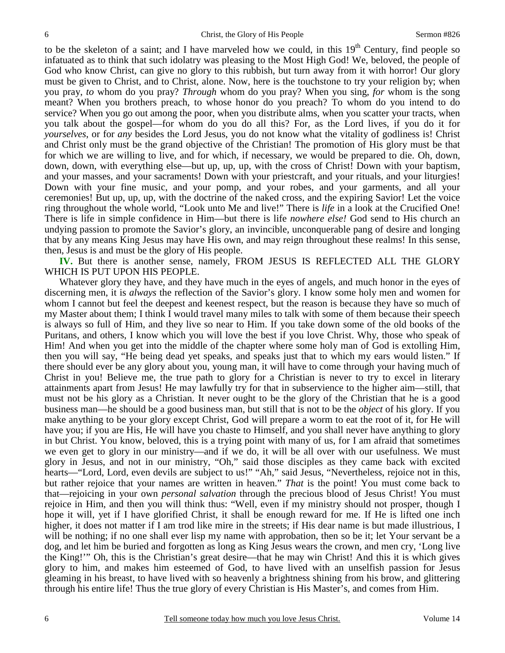to be the skeleton of a saint; and I have marveled how we could, in this  $19<sup>th</sup>$  Century, find people so infatuated as to think that such idolatry was pleasing to the Most High God! We, beloved, the people of God who know Christ, can give no glory to this rubbish, but turn away from it with horror! Our glory must be given to Christ, and to Christ, alone. Now, here is the touchstone to try your religion by; when you pray, *to* whom do you pray? *Through* whom do you pray? When you sing, *for* whom is the song meant? When you brothers preach, to whose honor do you preach? To whom do you intend to do service? When you go out among the poor, when you distribute alms, when you scatter your tracts, when you talk about the gospel—for whom do you do all this? For, as the Lord lives, if you do it for *yourselves*, or for *any* besides the Lord Jesus, you do not know what the vitality of godliness is! Christ and Christ only must be the grand objective of the Christian! The promotion of His glory must be that for which we are willing to live, and for which, if necessary, we would be prepared to die. Oh, down, down, down, with everything else—but up, up, up, with the cross of Christ! Down with your baptism, and your masses, and your sacraments! Down with your priestcraft, and your rituals, and your liturgies! Down with your fine music, and your pomp, and your robes, and your garments, and all your ceremonies! But up, up, up, with the doctrine of the naked cross, and the expiring Savior! Let the voice ring throughout the whole world, "Look unto Me and live!" There is *life* in a look at the Crucified One! There is life in simple confidence in Him—but there is life *nowhere else!* God send to His church an undying passion to promote the Savior's glory, an invincible, unconquerable pang of desire and longing that by any means King Jesus may have His own, and may reign throughout these realms! In this sense, then, Jesus is and must be the glory of His people.

**IV.** But there is another sense, namely, FROM JESUS IS REFLECTED ALL THE GLORY WHICH IS PUT UPON HIS PEOPLE.

 Whatever glory they have, and they have much in the eyes of angels, and much honor in the eyes of discerning men, it is *always* the reflection of the Savior's glory. I know some holy men and women for whom I cannot but feel the deepest and keenest respect, but the reason is because they have so much of my Master about them; I think I would travel many miles to talk with some of them because their speech is always so full of Him, and they live so near to Him. If you take down some of the old books of the Puritans, and others, I know which you will love the best if you love Christ. Why, those who speak of Him! And when you get into the middle of the chapter where some holy man of God is extolling Him, then you will say, "He being dead yet speaks, and speaks just that to which my ears would listen." If there should ever be any glory about you, young man, it will have to come through your having much of Christ in you! Believe me, the true path to glory for a Christian is never to try to excel in literary attainments apart from Jesus! He may lawfully try for that in subservience to the higher aim—still, that must not be his glory as a Christian. It never ought to be the glory of the Christian that he is a good business man—he should be a good business man, but still that is not to be the *object* of his glory. If you make anything to be your glory except Christ, God will prepare a worm to eat the root of it, for He will have you; if you are His, He will have you chaste to Himself, and you shall never have anything to glory in but Christ. You know, beloved, this is a trying point with many of us, for I am afraid that sometimes we even get to glory in our ministry—and if we do, it will be all over with our usefulness. We must glory in Jesus, and not in our ministry, "Oh," said those disciples as they came back with excited hearts—"Lord, Lord, even devils are subject to us!" "Ah," said Jesus, "Nevertheless, rejoice not in this, but rather rejoice that your names are written in heaven." *That* is the point! You must come back to that—rejoicing in your own *personal salvation* through the precious blood of Jesus Christ! You must rejoice in Him, and then you will think thus: "Well, even if my ministry should not prosper, though I hope it will, yet if I have glorified Christ, it shall be enough reward for me. If He is lifted one inch higher, it does not matter if I am trod like mire in the streets; if His dear name is but made illustrious, I will be nothing; if no one shall ever lisp my name with approbation, then so be it; let Your servant be a dog, and let him be buried and forgotten as long as King Jesus wears the crown, and men cry, 'Long live the King!'" Oh, this is the Christian's great desire—that he may win Christ! And this it is which gives glory to him, and makes him esteemed of God, to have lived with an unselfish passion for Jesus gleaming in his breast, to have lived with so heavenly a brightness shining from his brow, and glittering through his entire life! Thus the true glory of every Christian is His Master's, and comes from Him.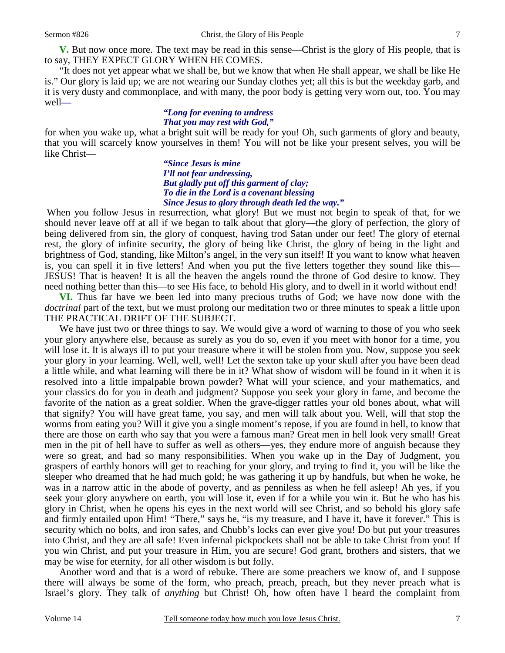**V.** But now once more. The text may be read in this sense—Christ is the glory of His people, that is to say, THEY EXPECT GLORY WHEN HE COMES.

 "It does not yet appear what we shall be, but we know that when He shall appear, we shall be like He is." Our glory is laid up; we are not wearing our Sunday clothes yet; all this is but the weekday garb, and it is very dusty and commonplace, and with many, the poor body is getting very worn out, too. You may well*—* 

## *"Long for evening to undress That you may rest with God,"*

for when you wake up, what a bright suit will be ready for you! Oh, such garments of glory and beauty, that you will scarcely know yourselves in them! You will not be like your present selves, you will be like Christ—

> *"Since Jesus is mine I'll not fear undressing, But gladly put off this garment of clay; To die in the Lord is a covenant blessing Since Jesus to glory through death led the way."*

When you follow Jesus in resurrection, what glory! But we must not begin to speak of that, for we should never leave off at all if we began to talk about that glory—the glory of perfection, the glory of being delivered from sin, the glory of conquest, having trod Satan under our feet! The glory of eternal rest, the glory of infinite security, the glory of being like Christ, the glory of being in the light and brightness of God, standing, like Milton's angel, in the very sun itself! If you want to know what heaven is, you can spell it in five letters! And when you put the five letters together they sound like this— JESUS! That is heaven! It is all the heaven the angels round the throne of God desire to know. They need nothing better than this—to see His face, to behold His glory, and to dwell in it world without end!

**VI.** Thus far have we been led into many precious truths of God; we have now done with the *doctrinal* part of the text, but we must prolong our meditation two or three minutes to speak a little upon THE PRACTICAL DRIFT OF THE SUBJECT.

We have just two or three things to say. We would give a word of warning to those of you who seek your glory anywhere else, because as surely as you do so, even if you meet with honor for a time, you will lose it. It is always ill to put your treasure where it will be stolen from you. Now, suppose you seek your glory in your learning. Well, well, well! Let the sexton take up your skull after you have been dead a little while, and what learning will there be in it? What show of wisdom will be found in it when it is resolved into a little impalpable brown powder? What will your science, and your mathematics, and your classics do for you in death and judgment? Suppose you seek your glory in fame, and become the favorite of the nation as a great soldier. When the grave-digger rattles your old bones about, what will that signify? You will have great fame, you say, and men will talk about you. Well, will that stop the worms from eating you? Will it give you a single moment's repose, if you are found in hell, to know that there are those on earth who say that you were a famous man? Great men in hell look very small! Great men in the pit of hell have to suffer as well as others—yes, they endure more of anguish because they were so great, and had so many responsibilities. When you wake up in the Day of Judgment, you graspers of earthly honors will get to reaching for your glory, and trying to find it, you will be like the sleeper who dreamed that he had much gold; he was gathering it up by handfuls, but when he woke, he was in a narrow attic in the abode of poverty, and as penniless as when he fell asleep! Ah yes, if you seek your glory anywhere on earth, you will lose it, even if for a while you win it. But he who has his glory in Christ, when he opens his eyes in the next world will see Christ, and so behold his glory safe and firmly entailed upon Him! "There," says he, "is my treasure, and I have it, have it forever." This is security which no bolts, and iron safes, and Chubb's locks can ever give you! Do but put your treasures into Christ, and they are all safe! Even infernal pickpockets shall not be able to take Christ from you! If you win Christ, and put your treasure in Him, you are secure! God grant, brothers and sisters, that we may be wise for eternity, for all other wisdom is but folly.

 Another word and that is a word of rebuke. There are some preachers we know of, and I suppose there will always be some of the form, who preach, preach, preach, but they never preach what is Israel's glory. They talk of *anything* but Christ! Oh, how often have I heard the complaint from